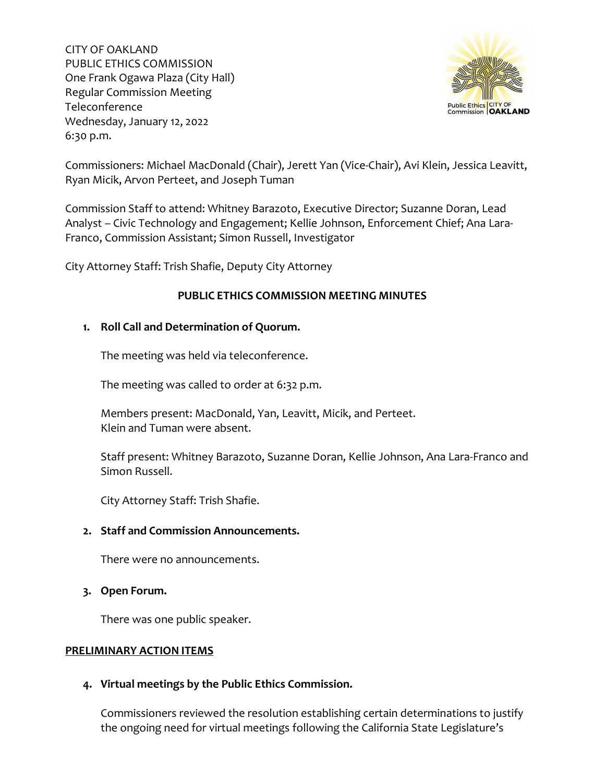

Commissioners: Michael MacDonald (Chair), Jerett Yan (Vice-Chair), Avi Klein, Jessica Leavitt, Ryan Micik, Arvon Perteet, and Joseph Tuman

Commission Staff to attend: Whitney Barazoto, Executive Director; Suzanne Doran, Lead Analyst – Civic Technology and Engagement; Kellie Johnson, Enforcement Chief; Ana Lara-Franco, Commission Assistant; Simon Russell, Investigator

City Attorney Staff: Trish Shafie, Deputy City Attorney

# **PUBLIC ETHICS COMMISSION MEETING MINUTES**

## **1. Roll Call and Determination of Quorum.**

The meeting was held via teleconference.

The meeting was called to order at 6:32 p.m.

Members present: MacDonald, Yan, Leavitt, Micik, and Perteet. Klein and Tuman were absent.

Staff present: Whitney Barazoto, Suzanne Doran, Kellie Johnson, Ana Lara-Franco and Simon Russell.

City Attorney Staff: Trish Shafie.

## **2. Staff and Commission Announcements.**

There were no announcements.

**3. Open Forum.**

There was one public speaker.

## **PRELIMINARY ACTION ITEMS**

## **4. Virtual meetings by the Public Ethics Commission.**

Commissioners reviewed the resolution establishing certain determinations to justify the ongoing need for virtual meetings following the California State Legislature's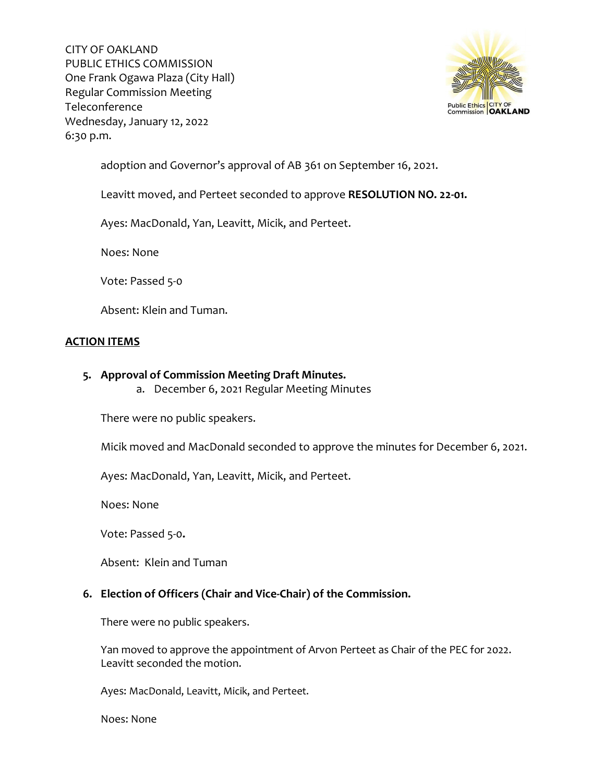

adoption and Governor's approval of AB 361 on September 16, 2021.

Leavitt moved, and Perteet seconded to approve **RESOLUTION NO. 22-01.**

Ayes: MacDonald, Yan, Leavitt, Micik, and Perteet.

Noes: None

Vote: Passed 5-0

Absent: Klein and Tuman.

# **ACTION ITEMS**

- **5. Approval of Commission Meeting Draft Minutes.**
	- a. December 6, 2021 Regular Meeting Minutes

There were no public speakers.

Micik moved and MacDonald seconded to approve the minutes for December 6, 2021.

Ayes: MacDonald, Yan, Leavitt, Micik, and Perteet.

Noes: None

Vote: Passed 5-0**.** 

Absent: Klein and Tuman

## **6. Election of Officers (Chair and Vice-Chair) of the Commission.**

There were no public speakers.

Yan moved to approve the appointment of Arvon Perteet as Chair of the PEC for 2022. Leavitt seconded the motion.

Ayes: MacDonald, Leavitt, Micik, and Perteet.

Noes: None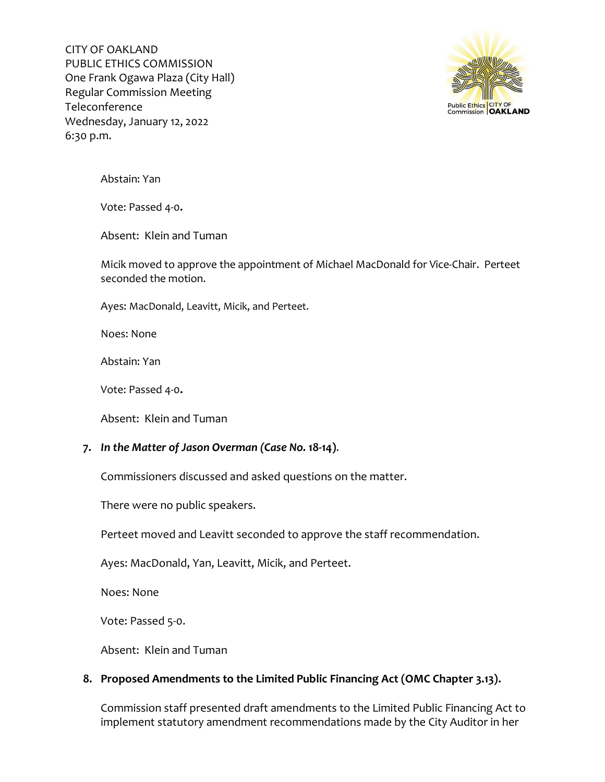

Abstain: Yan

Vote: Passed 4-0**.** 

Absent: Klein and Tuman

Micik moved to approve the appointment of Michael MacDonald for Vice-Chair. Perteet seconded the motion.

Ayes: MacDonald, Leavitt, Micik, and Perteet.

Noes: None

Abstain: Yan

Vote: Passed 4-0**.** 

Absent: Klein and Tuman

## **7.** *In the Matter of Jason Overman (Case No.* **18-14)**.

Commissioners discussed and asked questions on the matter.

There were no public speakers.

Perteet moved and Leavitt seconded to approve the staff recommendation.

Ayes: MacDonald, Yan, Leavitt, Micik, and Perteet.

Noes: None

Vote: Passed 5-0.

Absent: Klein and Tuman

# **8. Proposed Amendments to the Limited Public Financing Act (OMC Chapter 3.13).**

Commission staff presented draft amendments to the Limited Public Financing Act to implement statutory amendment recommendations made by the City Auditor in her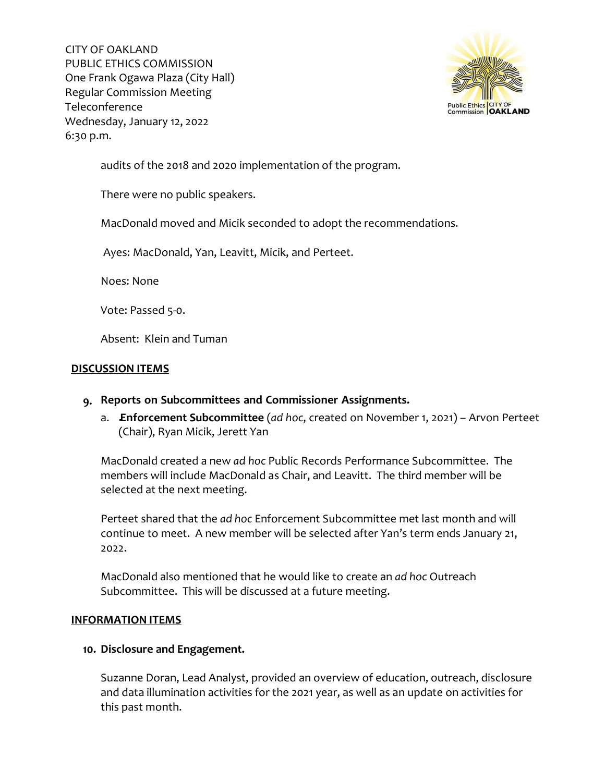

audits of the 2018 and 2020 implementation of the program.

There were no public speakers.

MacDonald moved and Micik seconded to adopt the recommendations.

Ayes: MacDonald, Yan, Leavitt, Micik, and Perteet.

Noes: None

Vote: Passed 5-0.

Absent: Klein and Tuman

# **DISCUSSION ITEMS**

- **9. Reports on Subcommittees and Commissioner Assignments.**
	- a. **Enforcement Subcommittee** (*ad hoc*, created on November 1, 2021) Arvon Perteet (Chair), Ryan Micik, Jerett Yan

MacDonald created a new *ad hoc* Public Records Performance Subcommittee. The members will include MacDonald as Chair, and Leavitt. The third member will be selected at the next meeting.

Perteet shared that the *ad hoc* Enforcement Subcommittee met last month and will continue to meet. A new member will be selected after Yan's term ends January 21, 2022.

MacDonald also mentioned that he would like to create an *ad hoc* Outreach Subcommittee. This will be discussed at a future meeting.

## **INFORMATION ITEMS**

## **10. Disclosure and Engagement.**

Suzanne Doran, Lead Analyst, provided an overview of education, outreach, disclosure and data illumination activities for the 2021 year, as well as an update on activities for this past month.